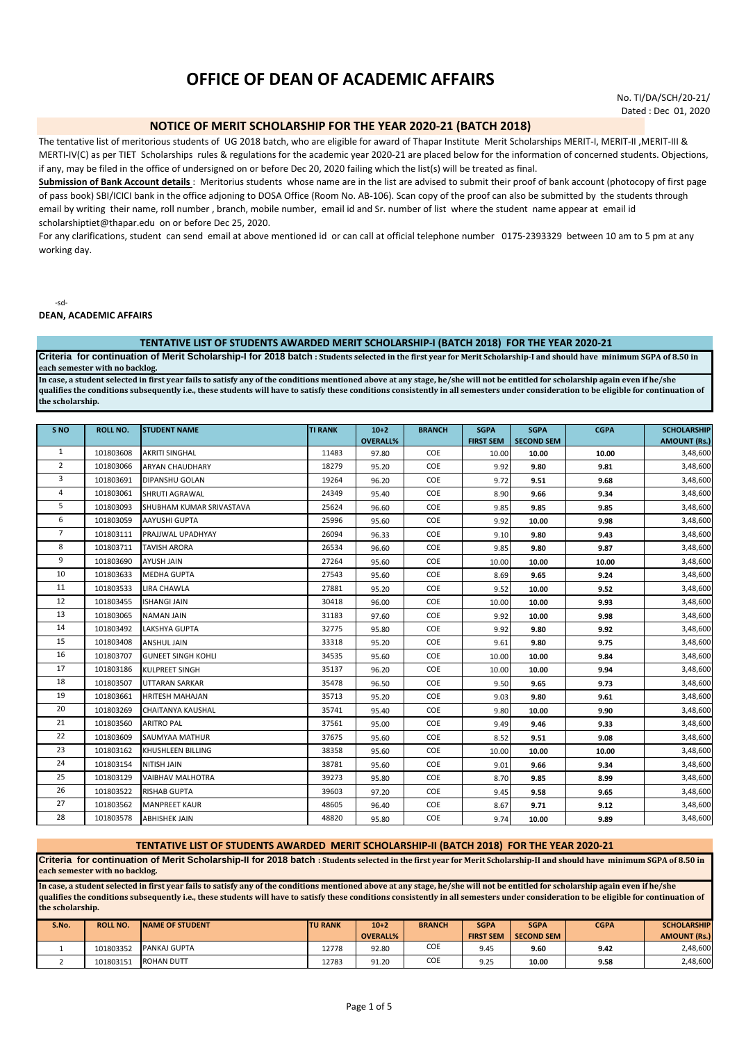# **OFFICE OF DEAN OF ACADEMIC AFFAIRS**

No. TI/DA/SCH/20-21/ Dated : Dec 01, 2020

## **NOTICE OF MERIT SCHOLARSHIP FOR THE YEAR 2020-21 (BATCH 2018)**

The tentative list of meritorious students of UG 2018 batch, who are eligible for award of Thapar Institute Merit Scholarships MERIT-I, MERIT-II, MERIT-III & MERTI-IV(C) as per TIET Scholarships rules & regulations for the academic year 2020-21 are placed below for the information of concerned students. Objections, if any, may be filed in the office of undersigned on or before Dec 20, 2020 failing which the list(s) will be treated as final.

**Submission of Bank Account details** : Meritorius students whose name are in the list are advised to submit their proof of bank account (photocopy of first page of pass book) SBI/ICICI bank in the office adjoning to DOSA Office (Room No. AB-106). Scan copy of the proof can also be submitted by the students through email by writing their name, roll number , branch, mobile number, email id and Sr. number of list where the student name appear at email id scholarshiptiet@thapar.edu on or before Dec 25, 2020.

For any clarifications, student can send email at above mentioned id or can call at official telephone number 0175-2393329 between 10 am to 5 pm at any working day.

-sd-

**DEAN, ACADEMIC AFFAIRS**

#### **TENTATIVE LIST OF STUDENTS AWARDED MERIT SCHOLARSHIP-I (BATCH 2018) FOR THE YEAR 2020-21**

**Criteria for continuation of Merit Scholarship-I for 2018 batch : Students selected in the first year for Merit Scholarship-I and should have minimum SGPA of 8.50 in each semester with no backlog.**

**In case, a student selected in first year fails to satisfy any of the conditions mentioned above at any stage, he/she will not be entitled for scholarship again even if he/she qualifies the conditions subsequently i.e., these students will have to satisfy these conditions consistently in all semesters under consideration to be eligible for continuation of the scholarship.** 

| S <sub>NO</sub> | <b>ROLL NO.</b> | <b>STUDENT NAME</b>       | <b>TI RANK</b> | $10+2$          | <b>BRANCH</b> | <b>SGPA</b>      | <b>SGPA</b>       | <b>CGPA</b> | <b>SCHOLARSHIP</b>  |
|-----------------|-----------------|---------------------------|----------------|-----------------|---------------|------------------|-------------------|-------------|---------------------|
|                 |                 |                           |                | <b>OVERALL%</b> |               | <b>FIRST SEM</b> | <b>SECOND SEM</b> |             | <b>AMOUNT (Rs.)</b> |
| 1               | 101803608       | <b>AKRITI SINGHAL</b>     | 11483          | 97.80           | COE           | 10.00            | 10.00             | 10.00       | 3,48,600            |
| $\overline{2}$  | 101803066       | <b>ARYAN CHAUDHARY</b>    | 18279          | 95.20           | COE           | 9.92             | 9.80              | 9.81        | 3,48,600            |
| 3               | 101803691       | <b>DIPANSHU GOLAN</b>     | 19264          | 96.20           | COE           | 9.72             | 9.51              | 9.68        | 3,48,600            |
| 4               | 101803061       | <b>SHRUTI AGRAWAL</b>     | 24349          | 95.40           | COE           | 8.90             | 9.66              | 9.34        | 3,48,600            |
| 5               | 101803093       | SHUBHAM KUMAR SRIVASTAVA  | 25624          | 96.60           | COE           | 9.85             | 9.85              | 9.85        | 3,48,600            |
| 6               | 101803059       | <b>AAYUSHI GUPTA</b>      | 25996          | 95.60           | COE           | 9.92             | 10.00             | 9.98        | 3,48,600            |
| $\overline{7}$  | 101803111       | PRAJJWAL UPADHYAY         | 26094          | 96.33           | COE           | 9.10             | 9.80              | 9.43        | 3,48,600            |
| 8               | 101803711       | <b>TAVISH ARORA</b>       | 26534          | 96.60           | COE           | 9.85             | 9.80              | 9.87        | 3,48,600            |
| 9               | 101803690       | AYUSH JAIN                | 27264          | 95.60           | COE           | 10.00            | 10.00             | 10.00       | 3,48,600            |
| 10              | 101803633       | <b>MEDHA GUPTA</b>        | 27543          | 95.60           | COE           | 8.69             | 9.65              | 9.24        | 3,48,600            |
| 11              | 101803533       | LIRA CHAWLA               | 27881          | 95.20           | COE           | 9.52             | 10.00             | 9.52        | 3,48,600            |
| 12              | 101803455       | <b>ISHANGI JAIN</b>       | 30418          | 96.00           | COE           | 10.00            | 10.00             | 9.93        | 3,48,600            |
| 13              | 101803065       | <b>NAMAN JAIN</b>         | 31183          | 97.60           | COE           | 9.92             | 10.00             | 9.98        | 3,48,600            |
| 14              | 101803492       | <b>LAKSHYA GUPTA</b>      | 32775          | 95.80           | COE           | 9.92             | 9.80              | 9.92        | 3,48,600            |
| 15              | 101803408       | <b>ANSHUL JAIN</b>        | 33318          | 95.20           | COE           | 9.61             | 9.80              | 9.75        | 3,48,600            |
| 16              | 101803707       | <b>GUNEET SINGH KOHLI</b> | 34535          | 95.60           | COE           | 10.00            | 10.00             | 9.84        | 3,48,600            |
| 17              | 101803186       | <b>KULPREET SINGH</b>     | 35137          | 96.20           | COE           | 10.00            | 10.00             | 9.94        | 3,48,600            |
| 18              | 101803507       | <b>UTTARAN SARKAR</b>     | 35478          | 96.50           | COE           | 9.50             | 9.65              | 9.73        | 3,48,600            |
| 19              | 101803661       | <b>HRITESH MAHAJAN</b>    | 35713          | 95.20           | COE           | 9.03             | 9.80              | 9.61        | 3,48,600            |
| 20              | 101803269       | <b>CHAITANYA KAUSHAL</b>  | 35741          | 95.40           | COE           | 9.80             | 10.00             | 9.90        | 3,48,600            |
| 21              | 101803560       | <b>ARITRO PAL</b>         | 37561          | 95.00           | COE           | 9.49             | 9.46              | 9.33        | 3,48,600            |
| 22              | 101803609       | <b>SAUMYAA MATHUR</b>     | 37675          | 95.60           | COE           | 8.52             | 9.51              | 9.08        | 3,48,600            |
| 23              | 101803162       | <b>KHUSHLEEN BILLING</b>  | 38358          | 95.60           | COE           | 10.00            | 10.00             | 10.00       | 3,48,600            |
| 24              | 101803154       | <b>NITISH JAIN</b>        | 38781          | 95.60           | COE           | 9.01             | 9.66              | 9.34        | 3,48,600            |
| 25              | 101803129       | <b>VAIBHAV MALHOTRA</b>   | 39273          | 95.80           | COE           | 8.70             | 9.85              | 8.99        | 3,48,600            |
| 26              | 101803522       | <b>RISHAB GUPTA</b>       | 39603          | 97.20           | COE           | 9.45             | 9.58              | 9.65        | 3,48,600            |
| 27              | 101803562       | <b>MANPREET KAUR</b>      | 48605          | 96.40           | COE           | 8.67             | 9.71              | 9.12        | 3,48,600            |
| 28              | 101803578       | <b>ABHISHEK JAIN</b>      | 48820          | 95.80           | COE           | 9.74             | 10.00             | 9.89        | 3,48,600            |

## **TENTATIVE LIST OF STUDENTS AWARDED MERIT SCHOLARSHIP-II (BATCH 2018) FOR THE YEAR 2020-21**

**Criteria for continuation of Merit Scholarship-II for 2018 batch : Students selected in the first year for Merit Scholarship-II and should have minimum SGPA of 8.50 in each semester with no backlog.**

**In case, a student selected in first year fails to satisfy any of the conditions mentioned above at any stage, he/she will not be entitled for scholarship again even if he/she qualifies the conditions subsequently i.e., these students will have to satisfy these conditions consistently in all semesters under consideration to be eligible for continuation of the scholarship.** 

| S.No. | <b>ROLL NO.</b> | <b>INAME OF STUDENT</b> | <b>ITU RANK</b> | $10+2$<br><b>OVERALL%</b> | <b>BRANCH</b> | <b>SGPA</b><br><b>FIRST SEM</b> | <b>SGPA</b><br><b>SECOND SEM</b> | <b>CGPA</b> | <b>SCHOLARSHIP</b><br><b>AMOUNT (Rs.)</b> |
|-------|-----------------|-------------------------|-----------------|---------------------------|---------------|---------------------------------|----------------------------------|-------------|-------------------------------------------|
|       | 101803352       | PANKAJ GUPTA            | 12778           | 92.80                     | COE           | 9.45                            | 9.60                             | 9.42        | 2,48,600                                  |
|       | 101803151       | <b>ROHAN DUTT</b>       | 12783           | 91.20                     | COE           | 9.25                            | 10.00                            | 9.58        | 2,48,600                                  |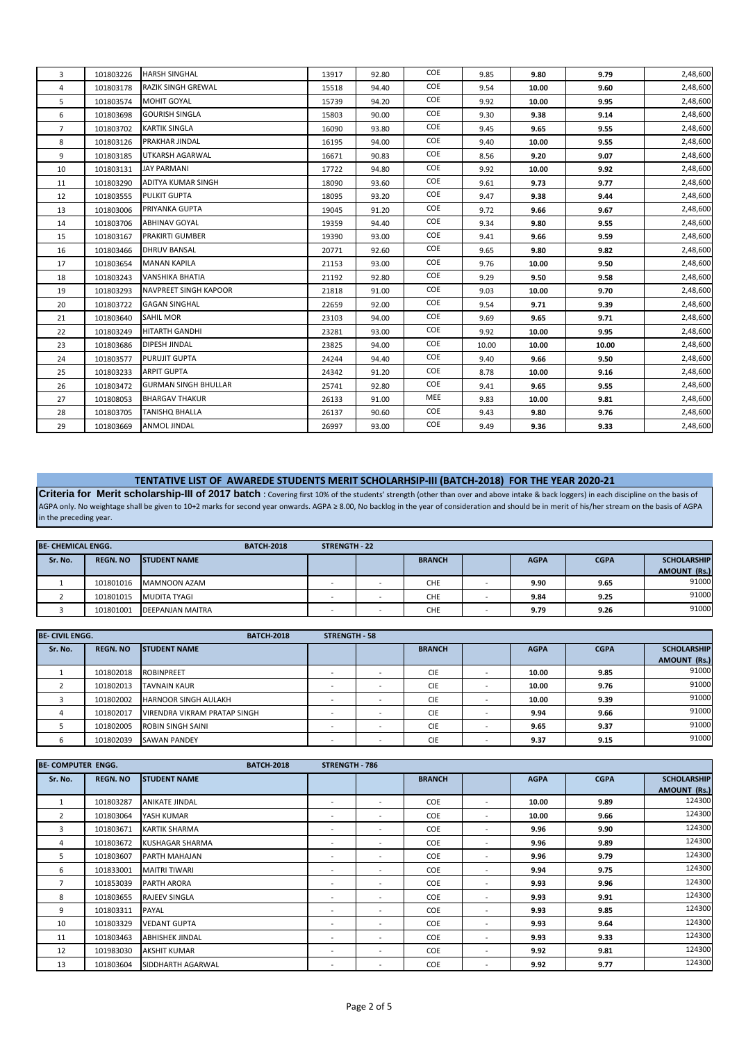| 3              | 101803226 | <b>HARSH SINGHAL</b>        | 13917 | 92.80 | COE        | 9.85  | 9.80  | 9.79  | 2,48,600 |
|----------------|-----------|-----------------------------|-------|-------|------------|-------|-------|-------|----------|
| 4              | 101803178 | <b>RAZIK SINGH GREWAL</b>   | 15518 | 94.40 | COE        | 9.54  | 10.00 | 9.60  | 2,48,600 |
| 5              | 101803574 | <b>MOHIT GOYAL</b>          | 15739 | 94.20 | COE        | 9.92  | 10.00 | 9.95  | 2,48,600 |
| 6              | 101803698 | <b>GOURISH SINGLA</b>       | 15803 | 90.00 | COE        | 9.30  | 9.38  | 9.14  | 2,48,600 |
| $\overline{7}$ | 101803702 | <b>KARTIK SINGLA</b>        | 16090 | 93.80 | COE        | 9.45  | 9.65  | 9.55  | 2,48,600 |
| 8              | 101803126 | <b>PRAKHAR JINDAL</b>       | 16195 | 94.00 | COE        | 9.40  | 10.00 | 9.55  | 2,48,600 |
| 9              | 101803185 | UTKARSH AGARWAL             | 16671 | 90.83 | COE        | 8.56  | 9.20  | 9.07  | 2,48,600 |
| 10             | 101803131 | <b>JAY PARMANI</b>          | 17722 | 94.80 | COE        | 9.92  | 10.00 | 9.92  | 2,48,600 |
| 11             | 101803290 | ADITYA KUMAR SINGH          | 18090 | 93.60 | COE        | 9.61  | 9.73  | 9.77  | 2,48,600 |
| 12             | 101803555 | <b>PULKIT GUPTA</b>         | 18095 | 93.20 | COE        | 9.47  | 9.38  | 9.44  | 2,48,600 |
| 13             | 101803006 | PRIYANKA GUPTA              | 19045 | 91.20 | COE        | 9.72  | 9.66  | 9.67  | 2,48,600 |
| 14             | 101803706 | <b>ABHINAV GOYAL</b>        | 19359 | 94.40 | COE        | 9.34  | 9.80  | 9.55  | 2,48,600 |
| 15             | 101803167 | <b>PRAKIRTI GUMBER</b>      | 19390 | 93.00 | COE        | 9.41  | 9.66  | 9.59  | 2,48,600 |
| 16             | 101803466 | <b>DHRUV BANSAL</b>         | 20771 | 92.60 | COE        | 9.65  | 9.80  | 9.82  | 2,48,600 |
| 17             | 101803654 | <b>MANAN KAPILA</b>         | 21153 | 93.00 | COE        | 9.76  | 10.00 | 9.50  | 2,48,600 |
| 18             | 101803243 | <b>VANSHIKA BHATIA</b>      | 21192 | 92.80 | COE        | 9.29  | 9.50  | 9.58  | 2,48,600 |
| 19             | 101803293 | NAVPREET SINGH KAPOOR       | 21818 | 91.00 | COE        | 9.03  | 10.00 | 9.70  | 2,48,600 |
| 20             | 101803722 | <b>GAGAN SINGHAL</b>        | 22659 | 92.00 | COE        | 9.54  | 9.71  | 9.39  | 2,48,600 |
| 21             | 101803640 | <b>SAHIL MOR</b>            | 23103 | 94.00 | COE        | 9.69  | 9.65  | 9.71  | 2,48,600 |
| 22             | 101803249 | HITARTH GANDHI              | 23281 | 93.00 | COE        | 9.92  | 10.00 | 9.95  | 2,48,600 |
| 23             | 101803686 | DIPESH JINDAL               | 23825 | 94.00 | COE        | 10.00 | 10.00 | 10.00 | 2,48,600 |
| 24             | 101803577 | <b>PURUJIT GUPTA</b>        | 24244 | 94.40 | COE        | 9.40  | 9.66  | 9.50  | 2,48,600 |
| 25             | 101803233 | <b>ARPIT GUPTA</b>          | 24342 | 91.20 | COE        | 8.78  | 10.00 | 9.16  | 2,48,600 |
| 26             | 101803472 | <b>GURMAN SINGH BHULLAR</b> | 25741 | 92.80 | COE        | 9.41  | 9.65  | 9.55  | 2,48,600 |
| 27             | 101808053 | <b>BHARGAV THAKUR</b>       | 26133 | 91.00 | <b>MEE</b> | 9.83  | 10.00 | 9.81  | 2,48,600 |
| 28             | 101803705 | <b>TANISHO BHALLA</b>       | 26137 | 90.60 | COE        | 9.43  | 9.80  | 9.76  | 2,48,600 |
| 29             | 101803669 | ANMOL JINDAL                | 26997 | 93.00 | COE        | 9.49  | 9.36  | 9.33  | 2,48,600 |
|                |           |                             |       |       |            |       |       |       |          |

# **TENTATIVE LIST OF AWAREDE STUDENTS MERIT SCHOLARHSIP-III (BATCH-2018) FOR THE YEAR 2020-21**

**Criteria for Merit scholarship-III of 2017 batch** : Covering first 10% of the students' strength (other than over and above intake & back loggers) in each discipline on the basis of AGPA only. No weightage shall be given to 10+2 marks for second year onwards. AGPA ≥ 8.00, No backlog in the year of consideration and should be in merit of his/her stream on the basis of AGPA in the preceding year.

| <b>BE- CHEMICAL ENGG.</b> |                 | <b>BATCH-2018</b>       | <b>STRENGTH - 22</b> |               |             |             |                    |
|---------------------------|-----------------|-------------------------|----------------------|---------------|-------------|-------------|--------------------|
| Sr. No.                   | <b>REGN. NO</b> | <b>ISTUDENT NAME</b>    |                      | <b>BRANCH</b> | <b>AGPA</b> | <b>CGPA</b> | <b>SCHOLARSHIP</b> |
|                           |                 |                         |                      |               |             |             | AMOUNT (Rs.)       |
|                           | 101801016       | MAMNOON AZAM            |                      | <b>CHE</b>    | 9.90        | 9.65        | 91000              |
|                           | 101801015       | MUDITA TYAGI            | $\sim$               | CHE           | 9.84        | 9.25        | 91000              |
|                           | 101801001       | <b>DEEPANJAN MAITRA</b> |                      | <b>CHE</b>    | 9.79        | 9.26        | 91000              |

| <b>BE-CIVIL ENGG.</b> |                 | <b>BATCH-2018</b>            | <b>STRENGTH - 58</b> |                          |               |             |             |                    |
|-----------------------|-----------------|------------------------------|----------------------|--------------------------|---------------|-------------|-------------|--------------------|
| Sr. No.               | <b>REGN. NO</b> | <b>STUDENT NAME</b>          |                      |                          | <b>BRANCH</b> | <b>AGPA</b> | <b>CGPA</b> | <b>SCHOLARSHIP</b> |
|                       |                 |                              |                      |                          |               |             |             | AMOUNT (Rs.)       |
|                       | 101802018       | <b>ROBINPREET</b>            |                      | $\overline{\phantom{a}}$ | <b>CIE</b>    | 10.00       | 9.85        | 91000              |
|                       | 101802013       | <b>TAVNAIN KAUR</b>          |                      | $\overline{\phantom{a}}$ | <b>CIE</b>    | 10.00       | 9.76        | 91000              |
|                       | 101802002       | <b>HARNOOR SINGH AULAKH</b>  |                      | $\overline{\phantom{a}}$ | <b>CIE</b>    | 10.00       | 9.39        | 91000              |
|                       | 101802017       | VIRENDRA VIKRAM PRATAP SINGH |                      | <b>.</b>                 | <b>CIE</b>    | 9.94        | 9.66        | 91000              |
|                       | 101802005       | ROBIN SINGH SAINI            |                      | <b>.</b>                 | <b>CIE</b>    | 9.65        | 9.37        | 91000              |
|                       | 101802039       | <b>SAWAN PANDEY</b>          |                      |                          | <b>CIE</b>    | 9.37        | 9.15        | 91000              |

| <b>BE- COMPUTER ENGG.</b> |                 | <b>BATCH-2018</b>      | STRENGTH - 786           |                          |               |                          |             |             |                                           |
|---------------------------|-----------------|------------------------|--------------------------|--------------------------|---------------|--------------------------|-------------|-------------|-------------------------------------------|
| Sr. No.                   | <b>REGN. NO</b> | <b>STUDENT NAME</b>    |                          |                          | <b>BRANCH</b> |                          | <b>AGPA</b> | <b>CGPA</b> | <b>SCHOLARSHIP</b><br><b>AMOUNT (Rs.)</b> |
| 1                         | 101803287       | ANIKATE JINDAL         |                          | $\overline{\phantom{a}}$ | COE           | $\overline{\phantom{a}}$ | 10.00       | 9.89        | 124300                                    |
| $\overline{2}$            | 101803064       | YASH KUMAR             | $\overline{\phantom{a}}$ | $\overline{\phantom{a}}$ | COE           | $\overline{\phantom{a}}$ | 10.00       | 9.66        | 124300                                    |
| 3                         | 101803671       | <b>KARTIK SHARMA</b>   | $\overline{\phantom{a}}$ | $\overline{\phantom{a}}$ | COE           | $\overline{\phantom{a}}$ | 9.96        | 9.90        | 124300                                    |
| 4                         | 101803672       | <b>KUSHAGAR SHARMA</b> |                          | $\overline{\phantom{a}}$ | COE           | $\overline{\phantom{a}}$ | 9.96        | 9.89        | 124300                                    |
| 5                         | 101803607       | <b>PARTH MAHAJAN</b>   | $\overline{\phantom{a}}$ | $\overline{\phantom{a}}$ | COE           | $\overline{\phantom{a}}$ | 9.96        | 9.79        | 124300                                    |
| 6                         | 101833001       | <b>MAITRI TIWARI</b>   |                          | $\overline{\phantom{a}}$ | COE           | $\overline{\phantom{a}}$ | 9.94        | 9.75        | 124300                                    |
| $\overline{7}$            | 101853039       | PARTH ARORA            | $\overline{\phantom{a}}$ | $\overline{\phantom{a}}$ | COE           | $\overline{\phantom{a}}$ | 9.93        | 9.96        | 124300                                    |
| 8                         | 101803655       | RAJEEV SINGLA          | $\overline{\phantom{a}}$ | $\overline{\phantom{a}}$ | COE           | $\overline{\phantom{a}}$ | 9.93        | 9.91        | 124300                                    |
| 9                         | 101803311       | PAYAL                  | $\overline{\phantom{a}}$ | $\overline{\phantom{a}}$ | COE           | $\overline{\phantom{a}}$ | 9.93        | 9.85        | 124300                                    |
| 10                        | 101803329       | <b>VEDANT GUPTA</b>    | $\overline{\phantom{0}}$ | $\overline{\phantom{a}}$ | COE           |                          | 9.93        | 9.64        | 124300                                    |
| 11                        | 101803463       | <b>ABHISHEK JINDAL</b> | $\overline{\phantom{a}}$ | $\overline{\phantom{a}}$ | <b>COE</b>    | $\overline{\phantom{a}}$ | 9.93        | 9.33        | 124300                                    |
| 12                        | 101983030       | <b>AKSHIT KUMAR</b>    |                          | $\overline{\phantom{a}}$ | COE           | $\overline{\phantom{a}}$ | 9.92        | 9.81        | 124300                                    |
| 13                        | 101803604       | SIDDHARTH AGARWAL      |                          |                          | COE           | $\overline{\phantom{a}}$ | 9.92        | 9.77        | 124300                                    |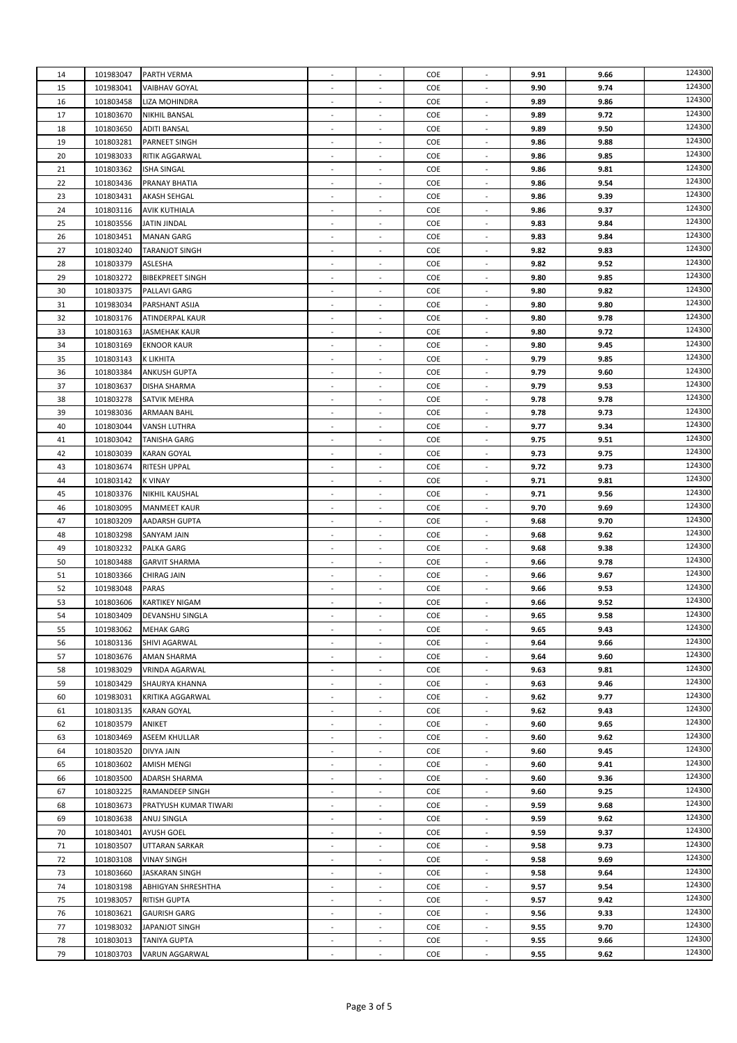| 14 | 101983047 | PARTH VERMA             | ÷,                           | $\overline{a}$           | COE | $\overline{\phantom{a}}$ | 9.91 | 9.66 | 124300 |
|----|-----------|-------------------------|------------------------------|--------------------------|-----|--------------------------|------|------|--------|
| 15 | 101983041 | <b>VAIBHAV GOYAL</b>    |                              | ٠                        | COE |                          | 9.90 | 9.74 | 124300 |
| 16 | 101803458 | LIZA MOHINDRA           | $\overline{\phantom{a}}$     |                          | COE |                          | 9.89 | 9.86 | 124300 |
| 17 | 101803670 | NIKHIL BANSAL           | $\sim$                       | $\overline{\phantom{a}}$ | COE | $\overline{\phantom{a}}$ | 9.89 | 9.72 | 124300 |
|    |           |                         |                              |                          |     |                          |      |      | 124300 |
| 18 | 101803650 | <b>ADITI BANSAL</b>     | $\overline{\phantom{a}}$     | $\blacksquare$           | COE | $\overline{\phantom{a}}$ | 9.89 | 9.50 |        |
| 19 | 101803281 | PARNEET SINGH           | $\overline{\phantom{a}}$     | $\overline{\phantom{a}}$ | COE | $\overline{\phantom{a}}$ | 9.86 | 9.88 | 124300 |
| 20 | 101983033 | RITIK AGGARWAL          |                              | ÷,                       | COE |                          | 9.86 | 9.85 | 124300 |
| 21 | 101803362 | <b>ISHA SINGAL</b>      | $\overline{\phantom{a}}$     | $\overline{a}$           | COE | $\overline{\phantom{a}}$ | 9.86 | 9.81 | 124300 |
| 22 | 101803436 | PRANAY BHATIA           | $\sim$                       | $\overline{\phantom{a}}$ | COE | $\sim$                   | 9.86 | 9.54 | 124300 |
|    |           |                         |                              |                          |     |                          |      |      | 124300 |
| 23 | 101803431 | AKASH SEHGAL            | $\overline{\phantom{a}}$     | $\overline{\phantom{a}}$ | COE | $\overline{\phantom{a}}$ | 9.86 | 9.39 |        |
| 24 | 101803116 | <b>AVIK KUTHIALA</b>    | $\overline{\phantom{a}}$     | $\overline{\phantom{m}}$ | COE | $\overline{\phantom{a}}$ | 9.86 | 9.37 | 124300 |
| 25 | 101803556 | <b>JATIN JINDAL</b>     | ÷,                           | $\overline{\phantom{a}}$ | COE | $\sim$                   | 9.83 | 9.84 | 124300 |
| 26 | 101803451 | <b>MANAN GARG</b>       | $\overline{\phantom{a}}$     | $\overline{\phantom{a}}$ | COE | $\sim$                   | 9.83 | 9.84 | 124300 |
| 27 | 101803240 |                         |                              |                          | COE |                          | 9.82 | 9.83 | 124300 |
|    |           | <b>TARANJOT SINGH</b>   |                              |                          |     |                          |      |      |        |
| 28 | 101803379 | ASLESHA                 | ÷,                           | $\overline{\phantom{a}}$ | COE | $\sim$                   | 9.82 | 9.52 | 124300 |
| 29 | 101803272 | <b>BIBEKPREET SINGH</b> | $\overline{\phantom{a}}$     | $\overline{\phantom{a}}$ | COE | $\overline{\phantom{a}}$ | 9.80 | 9.85 | 124300 |
| 30 | 101803375 | PALLAVI GARG            | $\overline{a}$               | $\overline{\phantom{m}}$ | COE | $\overline{\phantom{a}}$ | 9.80 | 9.82 | 124300 |
| 31 | 101983034 | PARSHANT ASIJA          | ÷,                           | ÷,                       | COE |                          | 9.80 | 9.80 | 124300 |
|    |           |                         |                              |                          |     |                          |      |      | 124300 |
| 32 | 101803176 | ATINDERPAL KAUR         | ÷,                           | $\overline{\phantom{a}}$ | COE | $\sim$                   | 9.80 | 9.78 |        |
| 33 | 101803163 | <b>JASMEHAK KAUR</b>    | $\sim$                       |                          | COE |                          | 9.80 | 9.72 | 124300 |
| 34 | 101803169 | <b>EKNOOR KAUR</b>      | $\qquad \qquad \blacksquare$ | $\overline{\phantom{a}}$ | COE | $\overline{\phantom{a}}$ | 9.80 | 9.45 | 124300 |
| 35 | 101803143 | K LIKHITA               | $\qquad \qquad \blacksquare$ | $\overline{\phantom{m}}$ | COE | $\overline{\phantom{a}}$ | 9.79 | 9.85 | 124300 |
| 36 | 101803384 | <b>ANKUSH GUPTA</b>     | $\overline{\phantom{a}}$     | $\overline{\phantom{m}}$ | COE | $\overline{\phantom{a}}$ | 9.79 | 9.60 | 124300 |
|    |           |                         |                              |                          |     |                          |      |      | 124300 |
| 37 | 101803637 | DISHA SHARMA            | $\overline{a}$               | $\overline{\phantom{a}}$ | COE | $\sim$                   | 9.79 | 9.53 |        |
| 38 | 101803278 | SATVIK MEHRA            |                              |                          | COE |                          | 9.78 | 9.78 | 124300 |
| 39 | 101983036 | <b>ARMAAN BAHL</b>      | $\overline{\phantom{a}}$     | $\overline{a}$           | COE | $\overline{\phantom{a}}$ | 9.78 | 9.73 | 124300 |
| 40 | 101803044 | VANSH LUTHRA            | $\overline{\phantom{a}}$     | $\overline{\phantom{a}}$ | COE | $\overline{\phantom{a}}$ | 9.77 | 9.34 | 124300 |
|    |           |                         |                              |                          |     |                          |      |      | 124300 |
| 41 | 101803042 | TANISHA GARG            | $\overline{\phantom{a}}$     | $\overline{\phantom{m}}$ | COE | $\overline{\phantom{a}}$ | 9.75 | 9.51 |        |
| 42 | 101803039 | <b>KARAN GOYAL</b>      | ÷,                           | ÷,                       | COE |                          | 9.73 | 9.75 | 124300 |
| 43 | 101803674 | <b>RITESH UPPAL</b>     | ÷,                           | $\overline{\phantom{a}}$ | COE | $\sim$                   | 9.72 | 9.73 | 124300 |
| 44 | 101803142 | <b>K VINAY</b>          | ÷,                           |                          | COE |                          | 9.71 | 9.81 | 124300 |
| 45 | 101803376 | <b>NIKHIL KAUSHAL</b>   | $\sim$                       | $\overline{\phantom{a}}$ | COE | $\sim$                   | 9.71 | 9.56 | 124300 |
|    |           |                         |                              |                          |     |                          |      |      | 124300 |
| 46 | 101803095 | <b>MANMEET KAUR</b>     | $\overline{\phantom{a}}$     | $\overline{\phantom{a}}$ | COE | $\overline{\phantom{a}}$ | 9.70 | 9.69 |        |
| 47 | 101803209 | AADARSH GUPTA           | $\overline{\phantom{a}}$     | ÷,                       | COE | $\overline{\phantom{a}}$ | 9.68 | 9.70 | 124300 |
| 48 | 101803298 | <b>SANYAM JAIN</b>      | $\overline{a}$               | $\overline{\phantom{a}}$ | COE | $\overline{\phantom{a}}$ | 9.68 | 9.62 | 124300 |
| 49 | 101803232 | <b>PALKA GARG</b>       |                              |                          | COE |                          | 9.68 | 9.38 | 124300 |
| 50 | 101803488 | <b>GARVIT SHARMA</b>    | ÷,                           | $\overline{a}$           | COE | $\overline{\phantom{a}}$ | 9.66 | 9.78 | 124300 |
|    |           |                         |                              |                          |     |                          |      |      | 124300 |
| 51 | 101803366 | CHIRAG JAIN             | $\overline{\phantom{a}}$     | $\overline{\phantom{a}}$ | COE | $\overline{\phantom{a}}$ | 9.66 | 9.67 |        |
| 52 | 101983048 | <b>PARAS</b>            | $\qquad \qquad \blacksquare$ | $\overline{\phantom{m}}$ | COE | $\overline{\phantom{a}}$ | 9.66 | 9.53 | 124300 |
| 53 | 101803606 | <b>KARTIKEY NIGAM</b>   | ÷,                           | $\overline{\phantom{a}}$ | COE | $\sim$                   | 9.66 | 9.52 | 124300 |
| 54 | 101803409 | DEVANSHU SINGLA         | $\overline{\phantom{a}}$     | $\overline{a}$           | COE | $\sim$                   | 9.65 | 9.58 | 124300 |
| 55 | 101983062 | <b>MEHAK GARG</b>       |                              |                          | COE |                          | 9.65 | 9.43 | 124300 |
|    |           |                         |                              |                          |     |                          |      |      | 124300 |
| 56 | 101803136 | SHIVI AGARWAL           | ÷,                           | $\overline{\phantom{a}}$ | COE |                          | 9.64 | 9.66 |        |
| 57 | 101803676 | AMAN SHARMA             | $\blacksquare$               | $\blacksquare$           | COE | $\blacksquare$           | 9.64 | 9.60 | 124300 |
| 58 | 101983029 | VRINDA AGARWAL          | $\qquad \qquad \blacksquare$ | $\overline{\phantom{m}}$ | COE | $\overline{\phantom{a}}$ | 9.63 | 9.81 | 124300 |
| 59 | 101803429 | SHAURYA KHANNA          | $\overline{\phantom{a}}$     | $\overline{\phantom{a}}$ | COE | $\overline{\phantom{a}}$ | 9.63 | 9.46 | 124300 |
| 60 | 101983031 | KRITIKA AGGARWAL        | $\overline{\phantom{a}}$     | ٠                        | COE | $\overline{\phantom{a}}$ | 9.62 | 9.77 | 124300 |
|    |           |                         |                              |                          |     |                          |      |      | 124300 |
| 61 | 101803135 | <b>KARAN GOYAL</b>      | $\overline{a}$               | ÷.                       | COE | $\sim$                   | 9.62 | 9.43 |        |
| 62 | 101803579 | ANIKET                  | $\qquad \qquad \blacksquare$ | $\overline{\phantom{a}}$ | COE | $\overline{\phantom{a}}$ | 9.60 | 9.65 | 124300 |
| 63 | 101803469 | ASEEM KHULLAR           | $\overline{\phantom{a}}$     | $\overline{\phantom{a}}$ | COE | $\overline{\phantom{a}}$ | 9.60 | 9.62 | 124300 |
| 64 | 101803520 | DIVYA JAIN              | ÷,                           | ÷,                       | COE | $\overline{\phantom{a}}$ | 9.60 | 9.45 | 124300 |
| 65 | 101803602 | AMISH MENGI             | $\overline{\phantom{a}}$     | $\overline{\phantom{a}}$ | COE | $\overline{\phantom{a}}$ | 9.60 | 9.41 | 124300 |
|    |           |                         |                              |                          |     |                          |      |      | 124300 |
| 66 | 101803500 | <b>ADARSH SHARMA</b>    | $\overline{a}$               |                          | COE |                          | 9.60 | 9.36 |        |
| 67 | 101803225 | RAMANDEEP SINGH         | ÷,                           | $\overline{\phantom{a}}$ | COE | $\sim$                   | 9.60 | 9.25 | 124300 |
| 68 | 101803673 | PRATYUSH KUMAR TIWARI   | $\overline{\phantom{a}}$     | $\sim$                   | COE | $\sim$                   | 9.59 | 9.68 | 124300 |
| 69 | 101803638 | ANUJ SINGLA             | $\qquad \qquad \blacksquare$ | $\frac{1}{2}$            | COE | $\overline{\phantom{a}}$ | 9.59 | 9.62 | 124300 |
| 70 | 101803401 | <b>AYUSH GOEL</b>       | ÷,                           | $\overline{\phantom{a}}$ | COE |                          | 9.59 | 9.37 | 124300 |
|    |           |                         |                              |                          |     |                          |      |      | 124300 |
| 71 | 101803507 | UTTARAN SARKAR          | $\sim$                       | ٠                        | COE | $\blacksquare$           | 9.58 | 9.73 |        |
| 72 | 101803108 | <b>VINAY SINGH</b>      | $\sim$                       | ÷.                       | COE | $\overline{\phantom{a}}$ | 9.58 | 9.69 | 124300 |
| 73 | 101803660 | <b>JASKARAN SINGH</b>   | $\sim$                       | $\overline{\phantom{a}}$ | COE | $\overline{\phantom{a}}$ | 9.58 | 9.64 | 124300 |
| 74 | 101803198 | ABHIGYAN SHRESHTHA      | $\qquad \qquad \blacksquare$ | $\overline{\phantom{a}}$ | COE | $\overline{\phantom{a}}$ | 9.57 | 9.54 | 124300 |
| 75 | 101983057 | <b>RITISH GUPTA</b>     | ÷,                           | ÷,                       | COE |                          | 9.57 | 9.42 | 124300 |
|    |           |                         |                              |                          |     |                          |      |      |        |
| 76 | 101803621 | <b>GAURISH GARG</b>     | $\overline{\phantom{a}}$     | $\overline{\phantom{m}}$ | COE | $\overline{\phantom{a}}$ | 9.56 | 9.33 | 124300 |
| 77 | 101983032 | JAPANJOT SINGH          |                              |                          | COE |                          | 9.55 | 9.70 | 124300 |
| 78 | 101803013 | <b>TANIYA GUPTA</b>     | $\overline{\phantom{a}}$     | $\overline{\phantom{a}}$ | COE | $\blacksquare$           | 9.55 | 9.66 | 124300 |
| 79 | 101803703 | VARUN AGGARWAL          | $\overline{\phantom{a}}$     | $\blacksquare$           | COE | $\overline{\phantom{a}}$ | 9.55 | 9.62 | 124300 |
|    |           |                         |                              |                          |     |                          |      |      |        |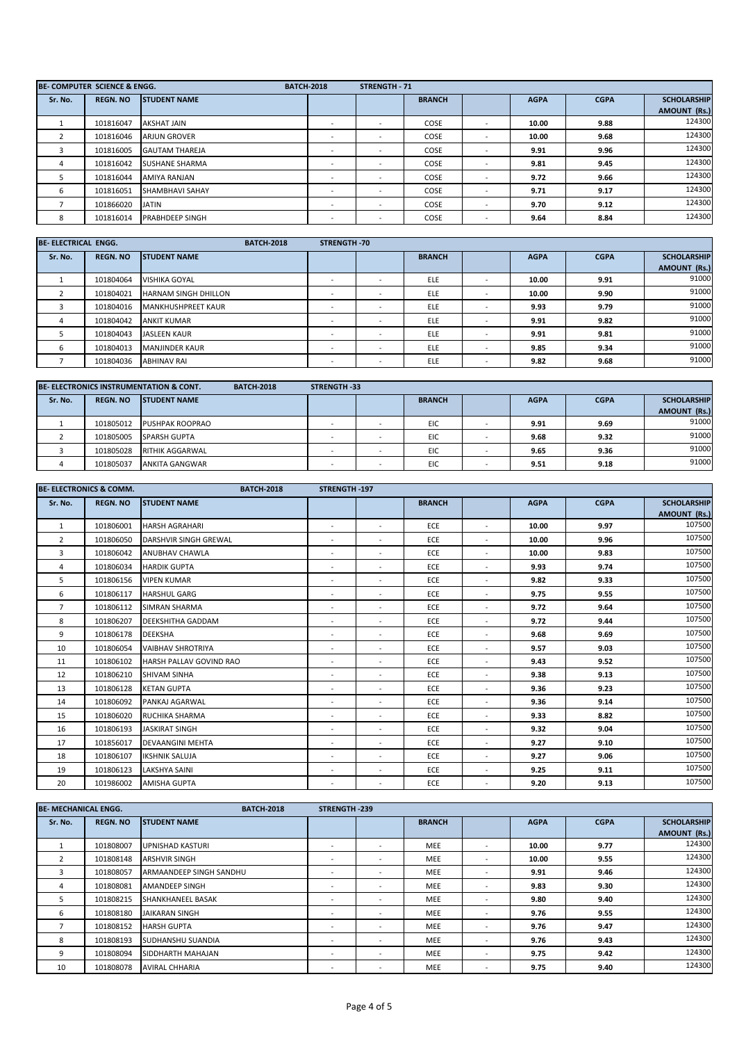|         | BE- COMPUTER SCIENCE & ENGG. |                        | <b>BATCH-2018</b> |                          | <b>STRENGTH - 71</b>     |               |                          |             |             |                     |
|---------|------------------------------|------------------------|-------------------|--------------------------|--------------------------|---------------|--------------------------|-------------|-------------|---------------------|
| Sr. No. | <b>REGN. NO</b>              | <b>STUDENT NAME</b>    |                   |                          |                          | <b>BRANCH</b> |                          | <b>AGPA</b> | <b>CGPA</b> | <b>SCHOLARSHIP</b>  |
|         |                              |                        |                   |                          |                          |               |                          |             |             | <b>AMOUNT (Rs.)</b> |
|         | 101816047                    | AKSHAT JAIN            |                   |                          | $\overline{\phantom{a}}$ | COSE          | $\overline{\phantom{a}}$ | 10.00       | 9.88        | 124300              |
|         | 101816046                    | <b>ARJUN GROVER</b>    |                   |                          |                          | COSE          |                          | 10.00       | 9.68        | 124300              |
|         | 101816005                    | <b>GAUTAM THAREJA</b>  |                   |                          |                          | COSE          | $\overline{\phantom{a}}$ | 9.91        | 9.96        | 124300              |
| -4      | 101816042                    | <b>SUSHANE SHARMA</b>  |                   |                          | $\overline{\phantom{a}}$ | COSE          |                          | 9.81        | 9.45        | 124300              |
| 5.      | 101816044                    | AMIYA RANJAN           |                   | $\overline{\phantom{a}}$ | $\overline{\phantom{a}}$ | COSE          |                          | 9.72        | 9.66        | 124300              |
| 6       | 101816051                    | <b>SHAMBHAVI SAHAY</b> |                   |                          |                          | COSE          |                          | 9.71        | 9.17        | 124300              |
|         | 101866020                    | <b>JATIN</b>           |                   |                          | $\overline{\phantom{a}}$ | COSE          |                          | 9.70        | 9.12        | 124300              |
| 8       | 101816014                    | <b>PRABHDEEP SINGH</b> |                   |                          |                          | COSE          | $\overline{\phantom{a}}$ | 9.64        | 8.84        | 124300              |

| <b>BE-ELECTRICAL ENGG.</b> |                 |                             | <b>BATCH-2018</b> | <b>STRENGTH-70</b> |   |               |                          |             |             |                    |
|----------------------------|-----------------|-----------------------------|-------------------|--------------------|---|---------------|--------------------------|-------------|-------------|--------------------|
| Sr. No.                    | <b>REGN. NO</b> | <b>STUDENT NAME</b>         |                   |                    |   | <b>BRANCH</b> |                          | <b>AGPA</b> | <b>CGPA</b> | <b>SCHOLARSHIP</b> |
|                            |                 |                             |                   |                    |   |               |                          |             |             | AMOUNT (Rs.)       |
|                            | 101804064       | <b>VISHIKA GOYAL</b>        |                   |                    |   | <b>ELE</b>    | $\overline{\phantom{a}}$ | 10.00       | 9.91        | 91000              |
|                            | 101804021       | <b>HARNAM SINGH DHILLON</b> |                   |                    | - | ELE           |                          | 10.00       | 9.90        | 91000              |
|                            | 101804016       | MANKHUSHPREET KAUR          |                   |                    |   | <b>ELE</b>    |                          | 9.93        | 9.79        | 91000              |
|                            | 101804042       | <b>ANKIT KUMAR</b>          |                   |                    |   | <b>ELE</b>    |                          | 9.91        | 9.82        | 91000              |
|                            | 101804043       | <b>JASLEEN KAUR</b>         |                   |                    |   | <b>ELE</b>    |                          | 9.91        | 9.81        | 91000              |
| 6                          | 101804013       | <b>MANJINDER KAUR</b>       |                   |                    |   | ELE           |                          | 9.85        | 9.34        | 91000              |
|                            | 101804036       | <b>ABHINAV RAI</b>          |                   | -                  | - | <b>ELE</b>    | $\overline{\phantom{a}}$ | 9.82        | 9.68        | 91000              |

|         |                 | <b>BE-ELECTRONICS INSTRUMENTATION &amp; CONT.</b><br><b>BATCH-2018</b> | <b>STRENGTH-33</b> |               |             |             |                     |
|---------|-----------------|------------------------------------------------------------------------|--------------------|---------------|-------------|-------------|---------------------|
| Sr. No. | <b>REGN. NO</b> | <b>STUDENT NAME</b>                                                    |                    | <b>BRANCH</b> | <b>AGPA</b> | <b>CGPA</b> | <b>SCHOLARSHIP</b>  |
|         |                 |                                                                        |                    |               |             |             | <b>AMOUNT (Rs.)</b> |
|         | 101805012       | <b>PUSHPAK ROOPRAO</b>                                                 |                    | <b>EIC</b>    | 9.91        | 9.69        | 91000               |
|         | 101805005       | <b>SPARSH GUPTA</b>                                                    |                    | EIC           | 9.68        | 9.32        | 91000               |
|         | 101805028       | RITHIK AGGARWAL                                                        |                    | EIC           | 9.65        | 9.36        | 91000               |
|         | 101805037       | ANKITA GANGWAR                                                         |                    | EIC           | 9.51        | 9.18        | 91000               |

|                | <b>BE- ELECTRONICS &amp; COMM.</b> | <b>BATCH-2018</b>              | STRENGTH-197             |                          |               |                          |             |             |                                           |
|----------------|------------------------------------|--------------------------------|--------------------------|--------------------------|---------------|--------------------------|-------------|-------------|-------------------------------------------|
| Sr. No.        | <b>REGN. NO</b>                    | <b>STUDENT NAME</b>            |                          |                          | <b>BRANCH</b> |                          | <b>AGPA</b> | <b>CGPA</b> | <b>SCHOLARSHIP</b><br><b>AMOUNT (Rs.)</b> |
| 1              | 101806001                          | <b>HARSH AGRAHARI</b>          | ٠.                       | $\overline{\phantom{a}}$ | <b>ECE</b>    | $\sim$                   | 10.00       | 9.97        | 107500                                    |
| 2              | 101806050                          | DARSHVIR SINGH GREWAL          | $\sim$                   | $\overline{\phantom{a}}$ | ECE           | $\sim$                   | 10.00       | 9.96        | 107500                                    |
| 3              | 101806042                          | <b>ANUBHAV CHAWLA</b>          | $\overline{\phantom{a}}$ | ٠                        | ECE           | $\overline{\phantom{a}}$ | 10.00       | 9.83        | 107500                                    |
| $\overline{4}$ | 101806034                          | <b>HARDIK GUPTA</b>            | $\overline{\phantom{a}}$ | ٠                        | ECE           | $\overline{\phantom{a}}$ | 9.93        | 9.74        | 107500                                    |
| 5              | 101806156                          | <b>VIPEN KUMAR</b>             | $\sim$                   | $\overline{\phantom{a}}$ | <b>ECE</b>    | $\sim$                   | 9.82        | 9.33        | 107500                                    |
| 6              | 101806117                          | <b>HARSHUL GARG</b>            | $\overline{\phantom{a}}$ | $\overline{\phantom{a}}$ | ECE           | $\sim$                   | 9.75        | 9.55        | 107500                                    |
| $\overline{7}$ | 101806112                          | <b>SIMRAN SHARMA</b>           | $\overline{\phantom{a}}$ | ٠                        | ECE           | $\overline{\phantom{a}}$ | 9.72        | 9.64        | 107500                                    |
| 8              | 101806207                          | <b>DEEKSHITHA GADDAM</b>       | $\overline{\phantom{a}}$ | $\overline{\phantom{a}}$ | ECE           | $\overline{\phantom{a}}$ | 9.72        | 9.44        | 107500                                    |
| 9              | 101806178                          | <b>DEEKSHA</b>                 | $\overline{\phantom{a}}$ | $\overline{\phantom{a}}$ | ECE           | $\sim$                   | 9.68        | 9.69        | 107500                                    |
| 10             | 101806054                          | <b>VAIBHAV SHROTRIYA</b>       | $\overline{\phantom{a}}$ | $\sim$                   | ECE           | $\sim$                   | 9.57        | 9.03        | 107500                                    |
| 11             | 101806102                          | <b>HARSH PALLAV GOVIND RAO</b> | $\overline{\phantom{a}}$ | $\overline{\phantom{a}}$ | ECE           | $\sim$                   | 9.43        | 9.52        | 107500                                    |
| 12             | 101806210                          | <b>SHIVAM SINHA</b>            | $\overline{\phantom{a}}$ | $\overline{\phantom{a}}$ | ECE           | $\overline{\phantom{a}}$ | 9.38        | 9.13        | 107500                                    |
| 13             | 101806128                          | <b>KETAN GUPTA</b>             | $\sim$                   | ٠                        | ECE           | $\overline{\phantom{a}}$ | 9.36        | 9.23        | 107500                                    |
| 14             | 101806092                          | <b>PANKAJ AGARWAL</b>          | $\overline{\phantom{a}}$ | $\overline{\phantom{a}}$ | ECE           | $\overline{\phantom{a}}$ | 9.36        | 9.14        | 107500                                    |
| 15             | 101806020                          | RUCHIKA SHARMA                 | $\overline{\phantom{a}}$ | $\overline{\phantom{a}}$ | ECE           | $\sim$                   | 9.33        | 8.82        | 107500                                    |
| 16             | 101806193                          | <b>JASKIRAT SINGH</b>          | $\overline{\phantom{a}}$ | $\overline{\phantom{a}}$ | ECE           | $\sim$                   | 9.32        | 9.04        | 107500                                    |
| 17             | 101856017                          | <b>DEVAANGINI MEHTA</b>        | $\sim$                   | $\overline{\phantom{a}}$ | <b>ECE</b>    | $\overline{\phantom{a}}$ | 9.27        | 9.10        | 107500                                    |
| 18             | 101806107                          | <b>IKSHNIK SALUJA</b>          | $\overline{\phantom{a}}$ | $\overline{\phantom{a}}$ | ECE           | $\overline{\phantom{a}}$ | 9.27        | 9.06        | 107500                                    |
| 19             | 101806123                          | LAKSHYA SAINI                  | $\sim$                   | ٠                        | ECE           | $\sim$                   | 9.25        | 9.11        | 107500                                    |
| 20             | 101986002                          | <b>AMISHA GUPTA</b>            |                          | ٠                        | ECE           |                          | 9.20        | 9.13        | 107500                                    |

| <b>BE- MECHANICAL ENGG.</b> |                 | <b>BATCH-2018</b>        | <b>STRENGTH-239</b> |                          |               |                          |             |             |                     |
|-----------------------------|-----------------|--------------------------|---------------------|--------------------------|---------------|--------------------------|-------------|-------------|---------------------|
| Sr. No.                     | <b>REGN. NO</b> | <b>STUDENT NAME</b>      |                     |                          | <b>BRANCH</b> |                          | <b>AGPA</b> | <b>CGPA</b> | <b>SCHOLARSHIP</b>  |
|                             |                 |                          |                     |                          |               |                          |             |             | <b>AMOUNT (Rs.)</b> |
|                             | 101808007       | <b>UPNISHAD KASTURI</b>  |                     | $\overline{\phantom{a}}$ | <b>MEE</b>    | $\overline{\phantom{a}}$ | 10.00       | 9.77        | 124300              |
| $\mathcal{L}$               | 101808148       | <b>ARSHVIR SINGH</b>     |                     | $\overline{\phantom{a}}$ | <b>MEE</b>    | $\overline{\phantom{a}}$ | 10.00       | 9.55        | 124300              |
|                             | 101808057       | ARMAANDEEP SINGH SANDHU  |                     | $\overline{\phantom{a}}$ | <b>MEE</b>    | $\overline{\phantom{a}}$ | 9.91        | 9.46        | 124300              |
| 4                           | 101808081       | <b>AMANDEEP SINGH</b>    |                     | $\overline{\phantom{a}}$ | <b>MEE</b>    | $\overline{\phantom{a}}$ | 9.83        | 9.30        | 124300              |
| $\mathcal{L}$               | 101808215       | <b>SHANKHANEEL BASAK</b> |                     | $\overline{\phantom{a}}$ | <b>MEE</b>    | $\overline{\phantom{a}}$ | 9.80        | 9.40        | 124300              |
| 6                           | 101808180       | JAIKARAN SINGH           |                     | $\overline{\phantom{a}}$ | <b>MEE</b>    | $\overline{\phantom{a}}$ | 9.76        | 9.55        | 124300              |
|                             | 101808152       | <b>HARSH GUPTA</b>       |                     | $\overline{\phantom{a}}$ | <b>MEE</b>    | $\overline{\phantom{a}}$ | 9.76        | 9.47        | 124300              |
| 8                           | 101808193       | SUDHANSHU SUANDIA        | -                   | $\overline{\phantom{a}}$ | <b>MEE</b>    | $\overline{\phantom{a}}$ | 9.76        | 9.43        | 124300              |
| 9                           | 101808094       | SIDDHARTH MAHAJAN        |                     | $\overline{\phantom{a}}$ | <b>MEE</b>    | $\overline{\phantom{a}}$ | 9.75        | 9.42        | 124300              |
| 10                          | 101808078       | <b>AVIRAL CHHARIA</b>    |                     | $\overline{\phantom{a}}$ | MEE           | $\overline{\phantom{a}}$ | 9.75        | 9.40        | 124300              |